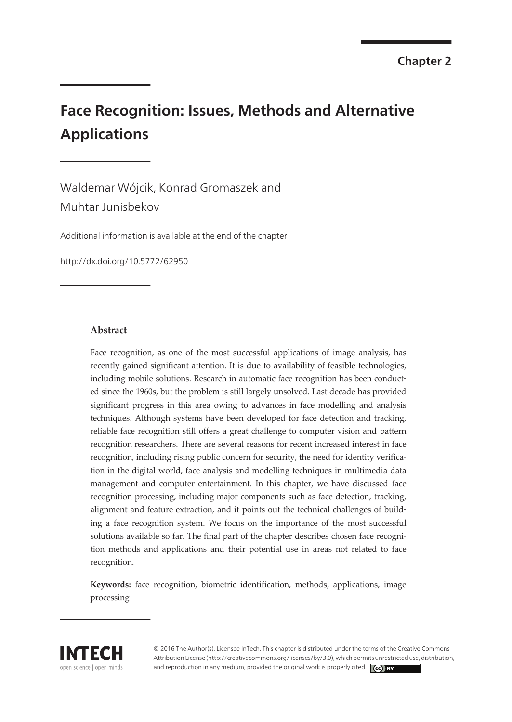# **Face Recognition: Issues, Methods and Alternative Applications**

Waldemar Wójcik, Konrad Gromaszek and Muhtar Junisbekov

[Additional information is available at the end of the chapter](#page-13-0)

http://dx.doi.org/10.5772/62950

#### **Abstract**

Face recognition, as one of the most successful applications of image analysis, has recently gained significant attention. It is due to availability of feasible technologies, including mobile solutions. Research in automatic face recognition has been conducted since the 1960s, but the problem is still largely unsolved. Last decade has provided significant progress in this area owing to advances in face modelling and analysis techniques. Although systems have been developed for face detection and tracking, reliable face recognition still offers a great challenge to computer vision and pattern recognition researchers. There are several reasons for recent increased interest in face recognition, including rising public concern for security, the need for identity verification in the digital world, face analysis and modelling techniques in multimedia data management and computer entertainment. In this chapter, we have discussed face recognition processing, including major components such as face detection, tracking, alignment and feature extraction, and it points out the technical challenges of build‐ ing a face recognition system. We focus on the importance of the most successful solutions available so far. The final part of the chapter describes chosen face recognition methods and applications and their potential use in areas not related to face recognition.

**Keywords:** face recognition, biometric identification, methods, applications, image processing



© 2016 The Author(s). Licensee InTech. This chapter is distributed under the terms of the Creative Commons Attribution License (http://creativecommons.org/licenses/by/3.0), which permits unrestricted use, distribution, and reproduction in any medium, provided the original work is properly cited.  $\left[\left(\begin{matrix} cc \end{matrix}\right)$  BY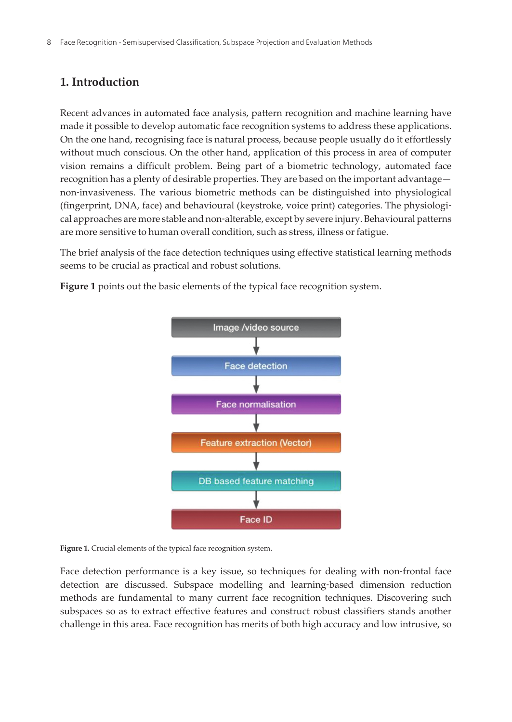## **1. Introduction**

Recent advances in automated face analysis, pattern recognition and machine learning have made it possible to develop automatic face recognition systems to address these applications. On the one hand, recognising face is natural process, because people usually do it effortlessly without much conscious. On the other hand, application of this process in area of computer vision remains a difficult problem. Being part of a biometric technology, automated face recognition has a plenty of desirable properties. They are based on the important advantage non‐invasiveness. The various biometric methods can be distinguished into physiological (fingerprint, DNA, face) and behavioural (keystroke, voice print) categories. The physiologi‐ cal approaches are more stable and non‐alterable, except by severe injury. Behavioural patterns are more sensitive to human overall condition, such as stress, illness or fatigue.

The brief analysis of the face detection techniques using effective statistical learning methods seems to be crucial as practical and robust solutions.

**Figure 1** points out the basic elements of the typical face recognition system.



Figure 1. Crucial elements of the typical face recognition system.

Face detection performance is a key issue, so techniques for dealing with non-frontal face detection are discussed. Subspace modelling and learning‐based dimension reduction methods are fundamental to many current face recognition techniques. Discovering such subspaces so as to extract effective features and construct robust classifiers stands another challenge in this area. Face recognition has merits of both high accuracy and low intrusive, so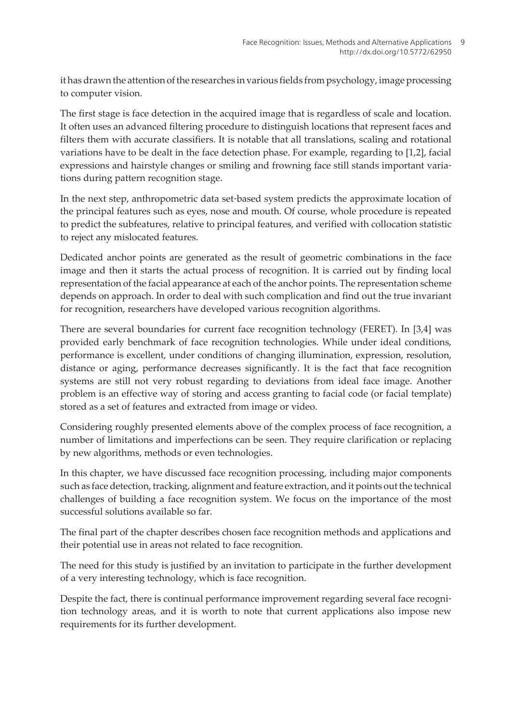it has drawn the attention of the researches in various fields from psychology, image processing to computer vision.

The first stage is face detection in the acquired image that is regardless of scale and location. It often uses an advanced filtering procedure to distinguish locations that represent faces and filters them with accurate classifiers. It is notable that all translations, scaling and rotational variations have to be dealt in the face detection phase. For example, regarding to [\[1,2](#page-13-0)], facial expressions and hairstyle changes or smiling and frowning face still stands important varia‐ tions during pattern recognition stage.

In the next step, anthropometric data set-based system predicts the approximate location of the principal features such as eyes, nose and mouth. Of course, whole procedure is repeated to predict the subfeatures, relative to principal features, and verified with collocation statistic to reject any mislocated features.

Dedicated anchor points are generated as the result of geometric combinations in the face image and then it starts the actual process of recognition. It is carried out by finding local representation of the facial appearance at each of the anchor points. The representation scheme depends on approach. In order to deal with such complication and find out the true invariant for recognition, researchers have developed various recognition algorithms.

There are several boundaries for current face recognition technology (FERET). In [\[3,4](#page-13-0)] was provided early benchmark of face recognition technologies. While under ideal conditions, performance is excellent, under conditions of changing illumination, expression, resolution, distance or aging, performance decreases significantly. It is the fact that face recognition systems are still not very robust regarding to deviations from ideal face image. Another problem is an effective way of storing and access granting to facial code (or facial template) stored as a set of features and extracted from image or video.

Considering roughly presented elements above of the complex process of face recognition, a number of limitations and imperfections can be seen. They require clarification or replacing by new algorithms, methods or even technologies.

In this chapter, we have discussed face recognition processing, including major components such as face detection, tracking, alignment and feature extraction, and it points out the technical challenges of building a face recognition system. We focus on the importance of the most successful solutions available so far.

The final part of the chapter describes chosen face recognition methods and applications and their potential use in areas not related to face recognition.

The need for this study is justified by an invitation to participate in the further development of a very interesting technology, which is face recognition.

Despite the fact, there is continual performance improvement regarding several face recognition technology areas, and it is worth to note that current applications also impose new requirements for its further development.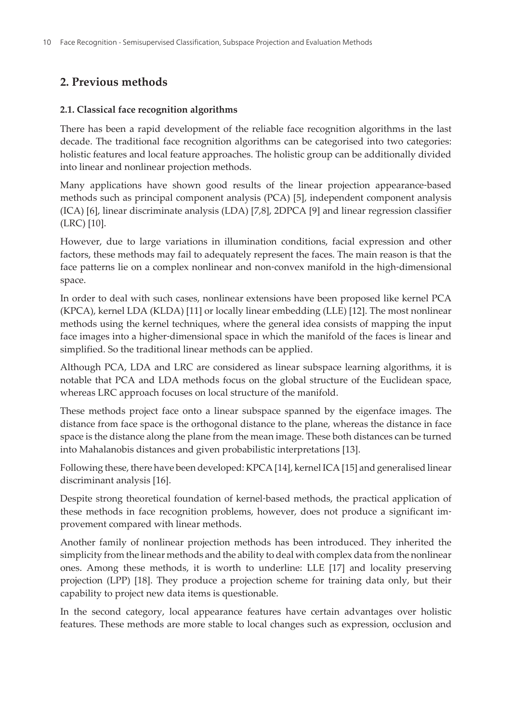## **2. Previous methods**

#### **2.1. Classical face recognition algorithms**

There has been a rapid development of the reliable face recognition algorithms in the last decade. The traditional face recognition algorithms can be categorised into two categories: holistic features and local feature approaches. The holistic group can be additionally divided into linear and nonlinear projection methods.

Many applications have shown good results of the linear projection appearance‐based methods such as principal component analysis (PCA) [\[5\]](#page-13-0), independent component analysis (ICA) [[6](#page-13-0)], linear discriminate analysis (LDA) [\[7,8\]](#page-13-0), 2DPCA [[9](#page-14-0)] and linear regression classifier (LRC) [[10\]](#page-14-0).

However, due to large variations in illumination conditions, facial expression and other factors, these methods may fail to adequately represent the faces. The main reason is that the face patterns lie on a complex nonlinear and non-convex manifold in the high-dimensional space.

In order to deal with such cases, nonlinear extensions have been proposed like kernel PCA (KPCA), kernel LDA (KLDA) [\[11](#page-14-0)] or locally linear embedding (LLE) [[12\]](#page-14-0). The most nonlinear methods using the kernel techniques, where the general idea consists of mapping the input face images into a higher-dimensional space in which the manifold of the faces is linear and simplified. So the traditional linear methods can be applied.

Although PCA, LDA and LRC are considered as linear subspace learning algorithms, it is notable that PCA and LDA methods focus on the global structure of the Euclidean space, whereas LRC approach focuses on local structure of the manifold.

These methods project face onto a linear subspace spanned by the eigenface images. The distance from face space is the orthogonal distance to the plane, whereas the distance in face space is the distance along the plane from the mean image. These both distances can be turned into Mahalanobis distances and given probabilistic interpretations [\[13](#page-14-0)].

Following these, there have been developed: KPCA [[14\]](#page-14-0), kernel ICA [[15\]](#page-14-0) and generalised linear discriminant analysis [[16\]](#page-14-0).

Despite strong theoretical foundation of kernel‐based methods, the practical application of these methods in face recognition problems, however, does not produce a significant im‐ provement compared with linear methods.

Another family of nonlinear projection methods has been introduced. They inherited the simplicity from the linear methods and the ability to deal with complex data from the nonlinear ones. Among these methods, it is worth to underline: LLE [[17\]](#page-14-0) and locality preserving projection (LPP) [[18\]](#page-14-0). They produce a projection scheme for training data only, but their capability to project new data items is questionable.

In the second category, local appearance features have certain advantages over holistic features. These methods are more stable to local changes such as expression, occlusion and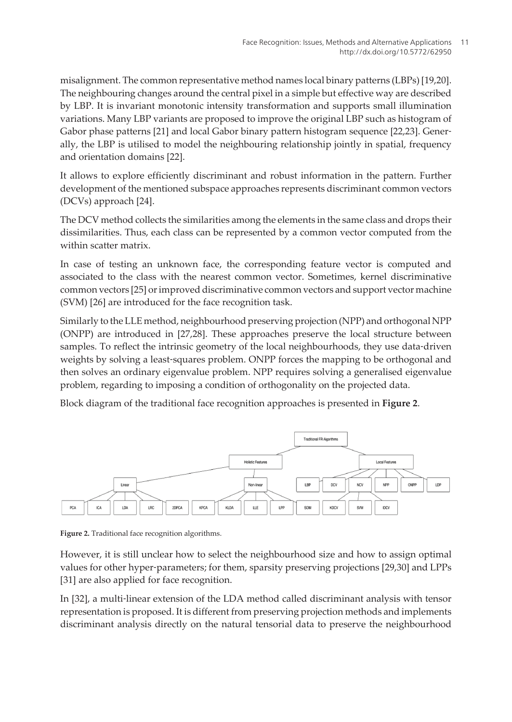misalignment. The common representative method names local binary patterns (LBPs) [[19,20\]](#page-14-0). The neighbouring changes around the central pixel in a simple but effective way are described by LBP. It is invariant monotonic intensity transformation and supports small illumination variations. Many LBP variants are proposed to improve the original LBP such as histogram of Gabor phase patterns [\[21](#page-14-0)] and local Gabor binary pattern histogram sequence [\[22](#page-14-0),[23\]](#page-14-0). Generally, the LBP is utilised to model the neighbouring relationship jointly in spatial, frequency and orientation domains [[22\]](#page-14-0).

It allows to explore efficiently discriminant and robust information in the pattern. Further development of the mentioned subspace approaches represents discriminant common vectors (DCVs) approach [\[24](#page-15-0)].

The DCV method collects the similarities among the elements in the same class and drops their dissimilarities. Thus, each class can be represented by a common vector computed from the within scatter matrix.

In case of testing an unknown face, the corresponding feature vector is computed and associated to the class with the nearest common vector. Sometimes, kernel discriminative common vectors [\[25](#page-15-0)] or improved discriminative common vectors and support vector machine (SVM) [[26\]](#page-15-0) are introduced for the face recognition task.

Similarly to the LLE method, neighbourhood preserving projection (NPP) and orthogonal NPP (ONPP) are introduced in [\[27,28](#page-15-0)]. These approaches preserve the local structure between samples. To reflect the intrinsic geometry of the local neighbourhoods, they use data-driven weights by solving a least-squares problem. ONPP forces the mapping to be orthogonal and then solves an ordinary eigenvalue problem. NPP requires solving a generalised eigenvalue problem, regarding to imposing a condition of orthogonality on the projected data.

Block diagram of the traditional face recognition approaches is presented in **Figure 2**.



**Figure 2.** Traditional face recognition algorithms.

However, it is still unclear how to select the neighbourhood size and how to assign optimal values for other hyper-parameters; for them, sparsity preserving projections [\[29](#page-15-0),[30\]](#page-15-0) and LPPs [[31\]](#page-15-0) are also applied for face recognition.

In [[32\]](#page-15-0), a multi-linear extension of the LDA method called discriminant analysis with tensor representation is proposed. It is different from preserving projection methods and implements discriminant analysis directly on the natural tensorial data to preserve the neighbourhood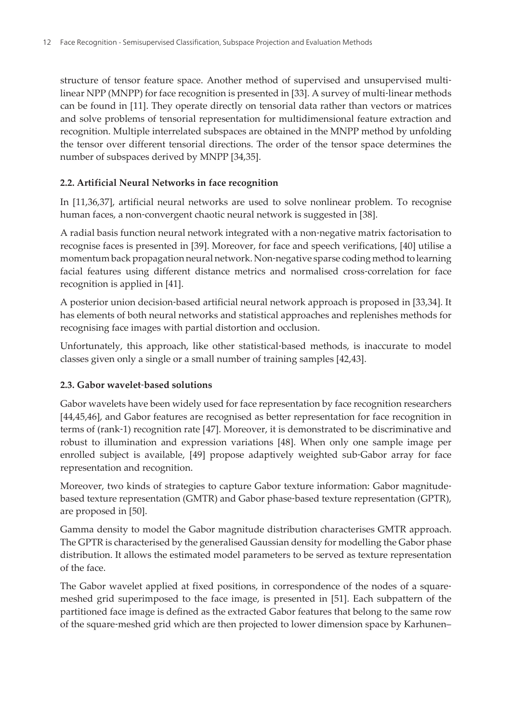structure of tensor feature space. Another method of supervised and unsupervised multilinear NPP (MNPP) for face recognition is presented in [\[33](#page-15-0)]. A survey of multi‐linear methods can be found in [[11\]](#page-14-0). They operate directly on tensorial data rather than vectors or matrices and solve problems of tensorial representation for multidimensional feature extraction and recognition. Multiple interrelated subspaces are obtained in the MNPP method by unfolding the tensor over different tensorial directions. The order of the tensor space determines the number of subspaces derived by MNPP [\[34](#page-15-0),[35\]](#page-15-0).

#### **2.2. Artificial Neural Networks in face recognition**

In [\[11](#page-14-0),[36,37\]](#page-15-0), artificial neural networks are used to solve nonlinear problem. To recognise human faces, a non-convergent chaotic neural network is suggested in [[38\]](#page-16-0).

A radial basis function neural network integrated with a non‐negative matrix factorisation to recognise faces is presented in [[39\]](#page-16-0). Moreover, for face and speech verifications, [[40\]](#page-16-0) utilise a momentum back propagation neural network. Non-negative sparse coding method to learning facial features using different distance metrics and normalised cross‐correlation for face recognition is applied in [[41\]](#page-16-0).

A posterior union decision‐based artificial neural network approach is proposed in [\[33](#page-15-0),[34\]](#page-15-0). It has elements of both neural networks and statistical approaches and replenishes methods for recognising face images with partial distortion and occlusion.

Unfortunately, this approach, like other statistical‐based methods, is inaccurate to model classes given only a single or a small number of training samples [[42,43\]](#page-16-0).

#### **2.3. Gabor wavelet‐based solutions**

Gabor wavelets have been widely used for face representation by face recognition researchers [[44,45,46](#page-16-0)], and Gabor features are recognised as better representation for face recognition in terms of (rank‐1) recognition rate [[47](#page-16-0)]. Moreover, it is demonstrated to be discriminative and robust to illumination and expression variations [\[48](#page-16-0)]. When only one sample image per enrolled subject is available, [\[49](#page-16-0)] propose adaptively weighted sub‐Gabor array for face representation and recognition.

Moreover, two kinds of strategies to capture Gabor texture information: Gabor magnitude‐ based texture representation (GMTR) and Gabor phase‐based texture representation (GPTR), are proposed in [\[50](#page-16-0)].

Gamma density to model the Gabor magnitude distribution characterises GMTR approach. The GPTR is characterised by the generalised Gaussian density for modelling the Gabor phase distribution. It allows the estimated model parameters to be served as texture representation of the face.

The Gabor wavelet applied at fixed positions, in correspondence of the nodes of a square‐ meshed grid superimposed to the face image, is presented in [[51\]](#page-16-0). Each subpattern of the partitioned face image is defined as the extracted Gabor features that belong to the same row of the square‐meshed grid which are then projected to lower dimension space by Karhunen–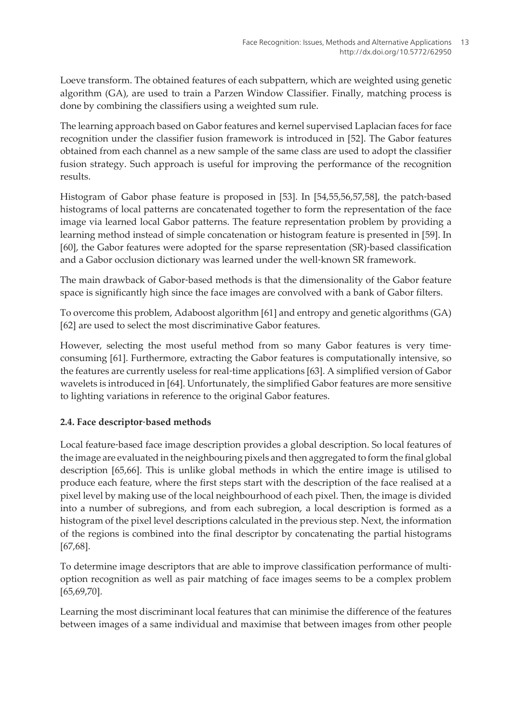Loeve transform. The obtained features of each subpattern, which are weighted using genetic algorithm (GA), are used to train a Parzen Window Classifier. Finally, matching process is done by combining the classifiers using a weighted sum rule.

The learning approach based on Gabor features and kernel supervised Laplacian faces for face recognition under the classifier fusion framework is introduced in [\[52](#page-17-0)]. The Gabor features obtained from each channel as a new sample of the same class are used to adopt the classifier fusion strategy. Such approach is useful for improving the performance of the recognition results.

Histogram of Gabor phase feature is proposed in [\[53](#page-17-0)]. In [\[54](#page-17-0),[55,56,57,58](#page-17-0)], the patch‐based histograms of local patterns are concatenated together to form the representation of the face image via learned local Gabor patterns. The feature representation problem by providing a learning method instead of simple concatenation or histogram feature is presented in [\[59](#page-17-0)]. In [[60\]](#page-17-0), the Gabor features were adopted for the sparse representation (SR)‐based classification and a Gabor occlusion dictionary was learned under the well‐known SR framework.

The main drawback of Gabor‐based methods is that the dimensionality of the Gabor feature space is significantly high since the face images are convolved with a bank of Gabor filters.

To overcome this problem, Adaboost algorithm [[61\]](#page-17-0) and entropy and genetic algorithms (GA) [[62\]](#page-17-0) are used to select the most discriminative Gabor features.

However, selecting the most useful method from so many Gabor features is very timeconsuming [\[61](#page-17-0)]. Furthermore, extracting the Gabor features is computationally intensive, so the features are currently useless for real‐time applications [[63\]](#page-17-0). A simplified version of Gabor wavelets is introduced in [\[64](#page-17-0)]. Unfortunately, the simplified Gabor features are more sensitive to lighting variations in reference to the original Gabor features.

#### **2.4. Face descriptor‐based methods**

Local feature‐based face image description provides a global description. So local features of the image are evaluated in the neighbouring pixels and then aggregated to form the final global description [\[65](#page-17-0)[,66](#page-18-0)]. This is unlike global methods in which the entire image is utilised to produce each feature, where the first steps start with the description of the face realised at a pixel level by making use of the local neighbourhood of each pixel. Then, the image is divided into a number of subregions, and from each subregion, a local description is formed as a histogram of the pixel level descriptions calculated in the previous step. Next, the information of the regions is combined into the final descriptor by concatenating the partial histograms [[67,68\]](#page-18-0).

To determine image descriptors that are able to improve classification performance of multi‐ option recognition as well as pair matching of face images seems to be a complex problem [[65,](#page-17-0)[69,70](#page-18-0)].

Learning the most discriminant local features that can minimise the difference of the features between images of a same individual and maximise that between images from other people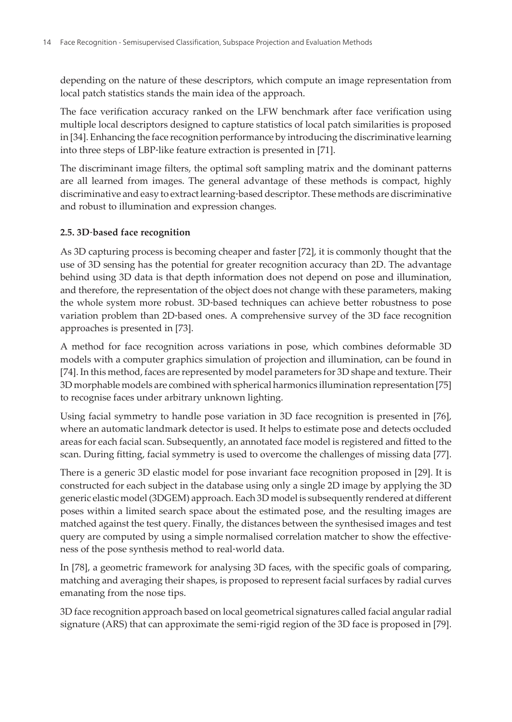depending on the nature of these descriptors, which compute an image representation from local patch statistics stands the main idea of the approach.

The face verification accuracy ranked on the LFW benchmark after face verification using multiple local descriptors designed to capture statistics of local patch similarities is proposed in [\[34](#page-15-0)]. Enhancing the face recognition performance by introducing the discriminative learning into three steps of LBP‐like feature extraction is presented in [[71\]](#page-18-0).

The discriminant image filters, the optimal soft sampling matrix and the dominant patterns are all learned from images. The general advantage of these methods is compact, highly discriminative and easy to extract learning‐based descriptor. These methods are discriminative and robust to illumination and expression changes.

#### **2.5. 3D‐based face recognition**

As 3D capturing process is becoming cheaper and faster [[72\]](#page-18-0), it is commonly thought that the use of 3D sensing has the potential for greater recognition accuracy than 2D. The advantage behind using 3D data is that depth information does not depend on pose and illumination, and therefore, the representation of the object does not change with these parameters, making the whole system more robust. 3D‐based techniques can achieve better robustness to pose variation problem than 2D‐based ones. A comprehensive survey of the 3D face recognition approaches is presented in [\[73](#page-18-0)].

A method for face recognition across variations in pose, which combines deformable 3D models with a computer graphics simulation of projection and illumination, can be found in [[74\]](#page-18-0). In this method, faces are represented by model parameters for 3D shape and texture. Their 3D morphable models are combined with spherical harmonics illumination representation [\[75](#page-18-0)] to recognise faces under arbitrary unknown lighting.

Using facial symmetry to handle pose variation in 3D face recognition is presented in [76], where an automatic landmark detector is used. It helps to estimate pose and detects occluded areas for each facial scan. Subsequently, an annotated face model is registered and fitted to the scan. During fitting, facial symmetry is used to overcome the challenges of missing data [\[77\]](#page-18-0).

There is a generic 3D elastic model for pose invariant face recognition proposed in [\[29](#page-15-0)]. It is constructed for each subject in the database using only a single 2D image by applying the 3D generic elastic model (3DGEM) approach. Each 3D model is subsequently rendered at different poses within a limited search space about the estimated pose, and the resulting images are matched against the test query. Finally, the distances between the synthesised images and test query are computed by using a simple normalised correlation matcher to show the effective‐ ness of the pose synthesis method to real‐world data.

In [[78\]](#page-18-0), a geometric framework for analysing 3D faces, with the specific goals of comparing, matching and averaging their shapes, is proposed to represent facial surfaces by radial curves emanating from the nose tips.

3D face recognition approach based on local geometrical signatures called facial angular radial signature (ARS) that can approximate the semi‐rigid region of the 3D face is proposed in [[79\]](#page-19-0).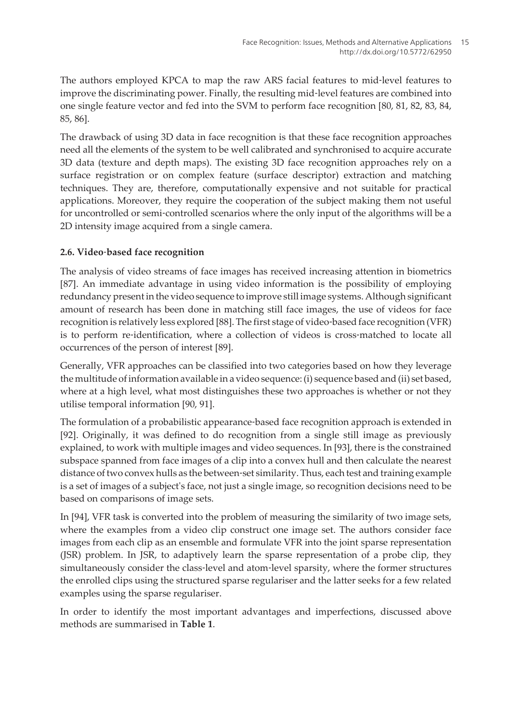The authors employed KPCA to map the raw ARS facial features to mid‐level features to improve the discriminating power. Finally, the resulting mid-level features are combined into one single feature vector and fed into the SVM to perform face recognition [\[80](#page-19-0), [81](#page-19-0), [82, 83](#page-19-0), [84,](#page-19-0) [85, 86](#page-19-0)].

The drawback of using 3D data in face recognition is that these face recognition approaches need all the elements of the system to be well calibrated and synchronised to acquire accurate 3D data (texture and depth maps). The existing 3D face recognition approaches rely on a surface registration or on complex feature (surface descriptor) extraction and matching techniques. They are, therefore, computationally expensive and not suitable for practical applications. Moreover, they require the cooperation of the subject making them not useful for uncontrolled or semi‐controlled scenarios where the only input of the algorithms will be a 2D intensity image acquired from a single camera.

#### **2.6. Video‐based face recognition**

The analysis of video streams of face images has received increasing attention in biometrics [[87\]](#page-19-0). An immediate advantage in using video information is the possibility of employing redundancy present in the video sequence to improve still image systems. Although significant amount of research has been done in matching still face images, the use of videos for face recognition is relatively less explored [\[88](#page-19-0)]. The first stage of video‐based face recognition (VFR) is to perform re-identification, where a collection of videos is cross-matched to locate all occurrences of the person of interest [[89\]](#page-19-0).

Generally, VFR approaches can be classified into two categories based on how they leverage the multitude of information available in a video sequence: (i) sequence based and (ii) set based, where at a high level, what most distinguishes these two approaches is whether or not they utilise temporal information [\[90](#page-19-0), [91\]](#page-19-0).

The formulation of a probabilistic appearance-based face recognition approach is extended in [[92\]](#page-19-0). Originally, it was defined to do recognition from a single still image as previously explained, to work with multiple images and video sequences. In [[93\]](#page-19-0), there is the constrained subspace spanned from face images of a clip into a convex hull and then calculate the nearest distance of two convex hulls as the between‐set similarity. Thus, each test and training example is a set of images of a subject's face, not just a single image, so recognition decisions need to be based on comparisons of image sets.

In [\[94](#page-19-0)], VFR task is converted into the problem of measuring the similarity of two image sets, where the examples from a video clip construct one image set. The authors consider face images from each clip as an ensemble and formulate VFR into the joint sparse representation (JSR) problem. In JSR, to adaptively learn the sparse representation of a probe clip, they simultaneously consider the class-level and atom-level sparsity, where the former structures the enrolled clips using the structured sparse regulariser and the latter seeks for a few related examples using the sparse regulariser.

In order to identify the most important advantages and imperfections, discussed above methods are summarised in **[Table 1](#page-9-0)**.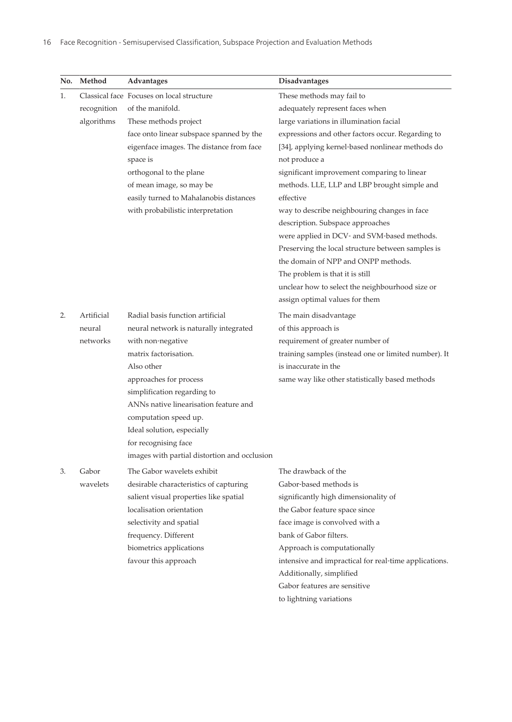<span id="page-9-0"></span>

| No. | Method      | Advantages                                   | <b>Disadvantages</b>                                  |
|-----|-------------|----------------------------------------------|-------------------------------------------------------|
| 1.  |             | Classical face Focuses on local structure    | These methods may fail to                             |
|     | recognition | of the manifold.                             | adequately represent faces when                       |
|     | algorithms  | These methods project                        | large variations in illumination facial               |
|     |             | face onto linear subspace spanned by the     | expressions and other factors occur. Regarding to     |
|     |             | eigenface images. The distance from face     | [34], applying kernel-based nonlinear methods do      |
|     |             | space is                                     | not produce a                                         |
|     |             | orthogonal to the plane                      | significant improvement comparing to linear           |
|     |             | of mean image, so may be                     | methods. LLE, LLP and LBP brought simple and          |
|     |             | easily turned to Mahalanobis distances       | effective                                             |
|     |             | with probabilistic interpretation            | way to describe neighbouring changes in face          |
|     |             |                                              | description. Subspace approaches                      |
|     |             |                                              | were applied in DCV- and SVM-based methods.           |
|     |             |                                              | Preserving the local structure between samples is     |
|     |             |                                              | the domain of NPP and ONPP methods.                   |
|     |             |                                              | The problem is that it is still                       |
|     |             |                                              | unclear how to select the neighbourhood size or       |
|     |             |                                              | assign optimal values for them                        |
| 2.  | Artificial  | Radial basis function artificial             | The main disadvantage                                 |
|     | neural      | neural network is naturally integrated       | of this approach is                                   |
|     | networks    | with non-negative                            | requirement of greater number of                      |
|     |             | matrix factorisation.                        | training samples (instead one or limited number). It  |
|     |             | Also other                                   | is inaccurate in the                                  |
|     |             | approaches for process                       | same way like other statistically based methods       |
|     |             | simplification regarding to                  |                                                       |
|     |             | ANNs native linearisation feature and        |                                                       |
|     |             | computation speed up.                        |                                                       |
|     |             | Ideal solution, especially                   |                                                       |
|     |             | for recognising face                         |                                                       |
|     |             | images with partial distortion and occlusion |                                                       |
| 3.  | Gabor       | The Gabor wavelets exhibit                   | The drawback of the                                   |
|     | wavelets    | desirable characteristics of capturing       | Gabor-based methods is                                |
|     |             | salient visual properties like spatial       | significantly high dimensionality of                  |
|     |             | localisation orientation                     | the Gabor feature space since                         |
|     |             | selectivity and spatial                      | face image is convolved with a                        |
|     |             | frequency. Different                         | bank of Gabor filters.                                |
|     |             | biometrics applications                      | Approach is computationally                           |
|     |             | favour this approach                         | intensive and impractical for real-time applications. |
|     |             |                                              | Additionally, simplified                              |
|     |             |                                              | Gabor features are sensitive                          |
|     |             |                                              | to lightning variations                               |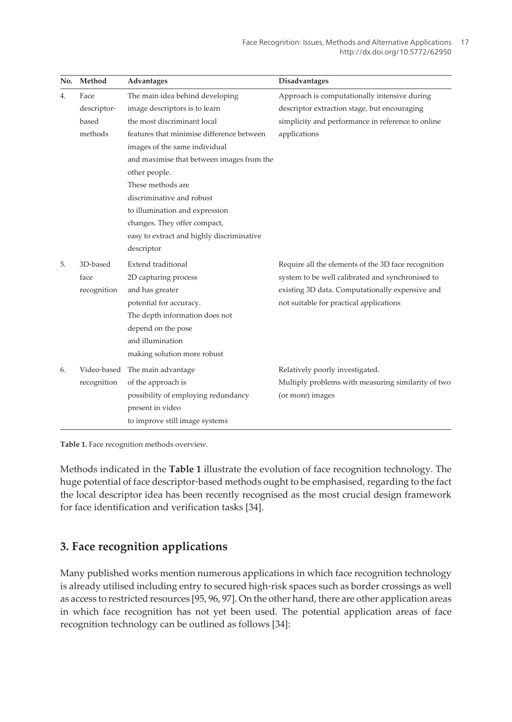| No. | Method      | Advantages                                | Disadvantages                                       |
|-----|-------------|-------------------------------------------|-----------------------------------------------------|
| 4.  | Face        | The main idea behind developing           | Approach is computationally intensive during        |
|     | descriptor- | image descriptors is to learn             | descriptor extraction stage, but encouraging        |
|     | based       | the most discriminant local               | simplicity and performance in reference to online   |
|     | methods     | features that minimise difference between | applications                                        |
|     |             | images of the same individual             |                                                     |
|     |             | and maximise that between images from the |                                                     |
|     |             | other people.                             |                                                     |
|     |             | These methods are                         |                                                     |
|     |             | discriminative and robust                 |                                                     |
|     |             | to illumination and expression            |                                                     |
|     |             | changes. They offer compact,              |                                                     |
|     |             | easy to extract and highly discriminative |                                                     |
|     |             | descriptor                                |                                                     |
| 5.  | 3D-based    | Extend traditional                        | Require all the elements of the 3D face recognition |
|     | face        | 2D capturing process                      | system to be well calibrated and synchronised to    |
|     | recognition | and has greater                           | existing 3D data. Computationally expensive and     |
|     |             | potential for accuracy.                   | not suitable for practical applications             |
|     |             | The depth information does not            |                                                     |
|     |             | depend on the pose                        |                                                     |
|     |             | and illumination                          |                                                     |
|     |             | making solution more robust               |                                                     |
| 6.  |             | Video-based The main advantage            | Relatively poorly investigated.                     |
|     | recognition | of the approach is                        | Multiply problems with measuring similarity of two  |
|     |             | possibility of employing redundancy       | (or more) images                                    |
|     |             | present in video                          |                                                     |
|     |             | to improve still image systems            |                                                     |

**Table 1.** Face recognition methods overview.

Methods indicated in the **[Table 1](#page-9-0)** illustrate the evolution of face recognition technology. The huge potential of face descriptor-based methods ought to be emphasised, regarding to the fact the local descriptor idea has been recently recognised as the most crucial design framework for face identification and verification tasks [\[34](#page-15-0)].

### **3. Face recognition applications**

Many published works mention numerous applications in which face recognition technology is already utilised including entry to secured high-risk spaces such as border crossings as well as access to restricted resources [\[95](#page-20-0), [96](#page-20-0), [97](#page-20-0)]. On the other hand, there are other application areas in which face recognition has not yet been used. The potential application areas of face recognition technology can be outlined as follows [\[34](#page-15-0)]: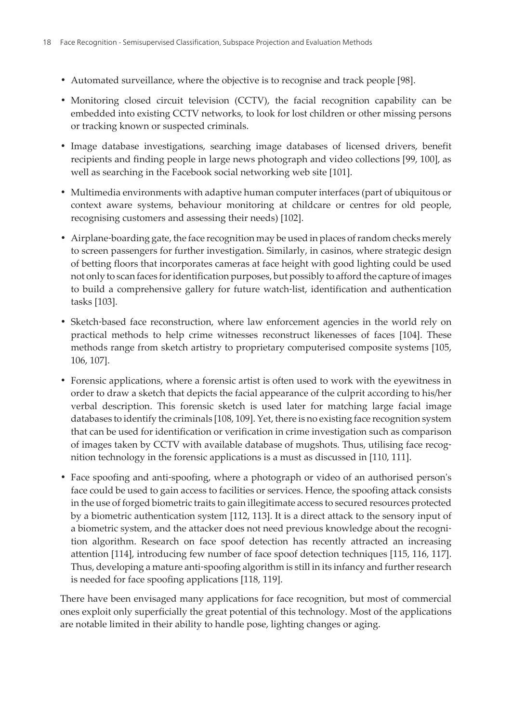- **•** Automated surveillance, where the objective is to recognise and track people [\[98](#page-20-0)].
- **•** Monitoring closed circuit television (CCTV), the facial recognition capability can be embedded into existing CCTV networks, to look for lost children or other missing persons or tracking known or suspected criminals.
- **•** Image database investigations, searching image databases of licensed drivers, benefit recipients and finding people in large news photograph and video collections [\[99](#page-20-0), [100](#page-20-0)], as well as searching in the Facebook social networking web site [\[101\]](#page-20-0).
- **•** Multimedia environments with adaptive human computer interfaces (part of ubiquitous or context aware systems, behaviour monitoring at childcare or centres for old people, recognising customers and assessing their needs) [\[102\]](#page-20-0).
- Airplane-boarding gate, the face recognition may be used in places of random checks merely to screen passengers for further investigation. Similarly, in casinos, where strategic design of betting floors that incorporates cameras at face height with good lighting could be used not only to scan faces for identification purposes, but possibly to afford the capture of images to build a comprehensive gallery for future watch‐list, identification and authentication tasks [\[103\]](#page-20-0).
- Sketch-based face reconstruction, where law enforcement agencies in the world rely on practical methods to help crime witnesses reconstruct likenesses of faces [\[104\]](#page-20-0). These methods range from sketch artistry to proprietary computerised composite systems [\[105,](#page-20-0) [106](#page-20-0), [107](#page-20-0)].
- **•** Forensic applications, where a forensic artist is often used to work with the eyewitness in order to draw a sketch that depicts the facial appearance of the culprit according to his/her verbal description. This forensic sketch is used later for matching large facial image databases to identify the criminals [[108](#page-20-0), [109](#page-20-0)]. Yet, there is no existing face recognition system that can be used for identification or verification in crime investigation such as comparison of images taken by CCTV with available database of mugshots. Thus, utilising face recog‐ nition technology in the forensic applications is a must as discussed in [[110](#page-21-0), [111](#page-21-0)].
- Face spoofing and anti-spoofing, where a photograph or video of an authorised person's face could be used to gain access to facilities or services. Hence, the spoofing attack consists in the use of forged biometric traits to gain illegitimate access to secured resources protected by a biometric authentication system [[112](#page-21-0), [113](#page-21-0)]. It is a direct attack to the sensory input of a biometric system, and the attacker does not need previous knowledge about the recognition algorithm. Research on face spoof detection has recently attracted an increasing attention [114], introducing few number of face spoof detection techniques [\[115, 116, 117\]](#page-21-0). Thus, developing a mature anti‐spoofing algorithm is still in its infancy and further research is needed for face spoofing applications [[118](#page-21-0), [119](#page-21-0)].

There have been envisaged many applications for face recognition, but most of commercial ones exploit only superficially the great potential of this technology. Most of the applications are notable limited in their ability to handle pose, lighting changes or aging.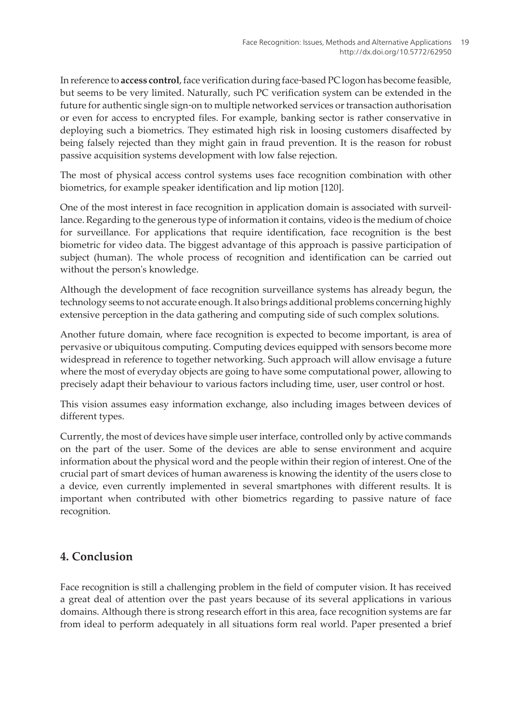In reference to **access control**, face verification during face‐based PC logon has become feasible, but seems to be very limited. Naturally, such PC verification system can be extended in the future for authentic single sign-on to multiple networked services or transaction authorisation or even for access to encrypted files. For example, banking sector is rather conservative in deploying such a biometrics. They estimated high risk in loosing customers disaffected by being falsely rejected than they might gain in fraud prevention. It is the reason for robust passive acquisition systems development with low false rejection.

The most of physical access control systems uses face recognition combination with other biometrics, for example speaker identification and lip motion [\[120\]](#page-21-0).

One of the most interest in face recognition in application domain is associated with surveil‐ lance. Regarding to the generous type of information it contains, video is the medium of choice for surveillance. For applications that require identification, face recognition is the best biometric for video data. The biggest advantage of this approach is passive participation of subject (human). The whole process of recognition and identification can be carried out without the person's knowledge.

Although the development of face recognition surveillance systems has already begun, the technology seems to not accurate enough. It also brings additional problems concerning highly extensive perception in the data gathering and computing side of such complex solutions.

Another future domain, where face recognition is expected to become important, is area of pervasive or ubiquitous computing. Computing devices equipped with sensors become more widespread in reference to together networking. Such approach will allow envisage a future where the most of everyday objects are going to have some computational power, allowing to precisely adapt their behaviour to various factors including time, user, user control or host.

This vision assumes easy information exchange, also including images between devices of different types.

Currently, the most of devices have simple user interface, controlled only by active commands on the part of the user. Some of the devices are able to sense environment and acquire information about the physical word and the people within their region of interest. One of the crucial part of smart devices of human awareness is knowing the identity of the users close to a device, even currently implemented in several smartphones with different results. It is important when contributed with other biometrics regarding to passive nature of face recognition.

## **4. Conclusion**

Face recognition is still a challenging problem in the field of computer vision. It has received a great deal of attention over the past years because of its several applications in various domains. Although there is strong research effort in this area, face recognition systems are far from ideal to perform adequately in all situations form real world. Paper presented a brief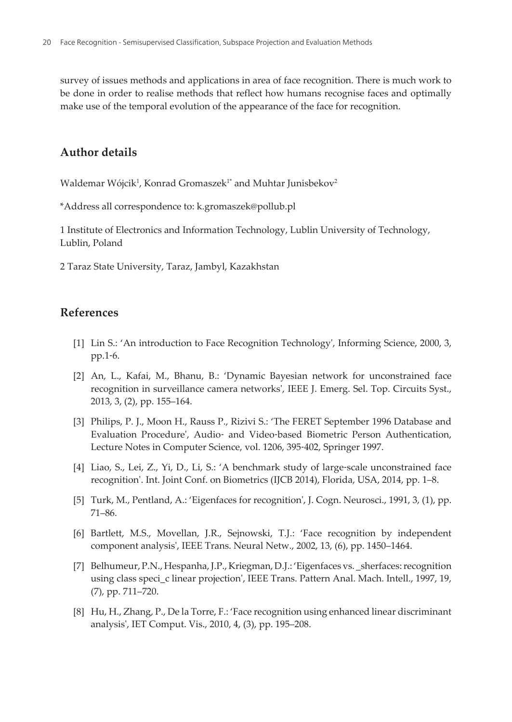<span id="page-13-0"></span>survey of issues methods and applications in area of face recognition. There is much work to be done in order to realise methods that reflect how humans recognise faces and optimally make use of the temporal evolution of the appearance of the face for recognition.

#### **Author details**

Waldemar Wójcik $^{\rm l}$ , Konrad Gromaszek $^{\rm l*}$  and Muhtar Junisbekov $^{\rm 2}$ 

\*Address all correspondence to: k.gromaszek@pollub.pl

1 Institute of Electronics and Information Technology, Lublin University of Technology, Lublin, Poland

2 Taraz State University, Taraz, Jambyl, Kazakhstan

#### **References**

- [1] Lin S.: 'An introduction to Face Recognition Technology', Informing Science, 2000, 3, pp.1‐6.
- [2] An, L., Kafai, M., Bhanu, B.: 'Dynamic Bayesian network for unconstrained face recognition in surveillance camera networks', IEEE J. Emerg. Sel. Top. Circuits Syst., 2013, 3, (2), pp. 155–164.
- [3] Philips, P. J., Moon H., Rauss P., Rizivi S.: 'The FERET September 1996 Database and Evaluation Procedure', Audio‐ and Video‐based Biometric Person Authentication, Lecture Notes in Computer Science, vol. 1206, 395‐402, Springer 1997.
- [4] Liao, S., Lei, Z., Yi, D., Li, S.: 'A benchmark study of large-scale unconstrained face recognition'. Int. Joint Conf. on Biometrics (IJCB 2014), Florida, USA, 2014, pp. 1–8.
- [5] Turk, M., Pentland, A.: 'Eigenfaces for recognition', J. Cogn. Neurosci., 1991, 3, (1), pp. 71–86.
- [6] Bartlett, M.S., Movellan, J.R., Sejnowski, T.J.: 'Face recognition by independent component analysis', IEEE Trans. Neural Netw., 2002, 13, (6), pp. 1450–1464.
- [7] Belhumeur, P.N., Hespanha, J.P., Kriegman, D.J.: 'Eigenfaces vs. \_sherfaces: recognition using class speci\_c linear projection', IEEE Trans. Pattern Anal. Mach. Intell., 1997, 19, (7), pp. 711–720.
- [8] Hu, H., Zhang, P., De la Torre, F.: 'Face recognition using enhanced linear discriminant analysis', IET Comput. Vis., 2010, 4, (3), pp. 195–208.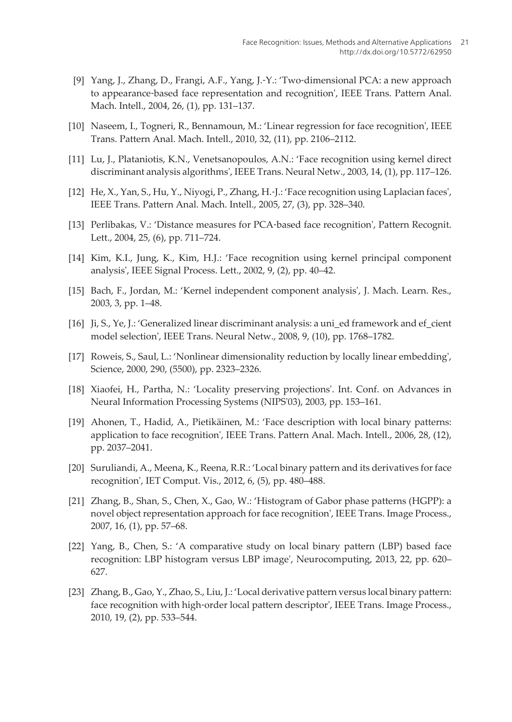- <span id="page-14-0"></span>[9] Yang, J., Zhang, D., Frangi, A.F., Yang, J.-Y.: 'Two-dimensional PCA: a new approach to appearance‐based face representation and recognition', IEEE Trans. Pattern Anal. Mach. Intell., 2004, 26, (1), pp. 131–137.
- [10] Naseem, I., Togneri, R., Bennamoun, M.: 'Linear regression for face recognition', IEEE Trans. Pattern Anal. Mach. Intell., 2010, 32, (11), pp. 2106–2112.
- [11] Lu, J., Plataniotis, K.N., Venetsanopoulos, A.N.: 'Face recognition using kernel direct discriminant analysis algorithms', IEEE Trans. Neural Netw., 2003, 14, (1), pp. 117–126.
- [12] He, X., Yan, S., Hu, Y., Niyogi, P., Zhang, H.‐J.: 'Face recognition using Laplacian faces', IEEE Trans. Pattern Anal. Mach. Intell., 2005, 27, (3), pp. 328–340.
- [13] Perlibakas, V.: 'Distance measures for PCA-based face recognition', Pattern Recognit. Lett., 2004, 25, (6), pp. 711–724.
- [14] Kim, K.I., Jung, K., Kim, H.J.: 'Face recognition using kernel principal component analysis', IEEE Signal Process. Lett., 2002, 9, (2), pp. 40–42.
- [15] Bach, F., Jordan, M.: 'Kernel independent component analysis', J. Mach. Learn. Res., 2003, 3, pp. 1–48.
- [16] Ji, S., Ye, J.: 'Generalized linear discriminant analysis: a uni\_ed framework and ef\_cient model selection', IEEE Trans. Neural Netw., 2008, 9, (10), pp. 1768–1782.
- [17] Roweis, S., Saul, L.: 'Nonlinear dimensionality reduction by locally linear embedding', Science, 2000, 290, (5500), pp. 2323–2326.
- [18] Xiaofei, H., Partha, N.: 'Locality preserving projections'. Int. Conf. on Advances in Neural Information Processing Systems (NIPS'03), 2003, pp. 153–161.
- [19] Ahonen, T., Hadid, A., Pietikäinen, M.: 'Face description with local binary patterns: application to face recognition', IEEE Trans. Pattern Anal. Mach. Intell., 2006, 28, (12), pp. 2037–2041.
- [20] Suruliandi, A., Meena, K., Reena, R.R.: 'Local binary pattern and its derivatives for face recognition', IET Comput. Vis., 2012, 6, (5), pp. 480–488.
- [21] Zhang, B., Shan, S., Chen, X., Gao, W.: 'Histogram of Gabor phase patterns (HGPP): a novel object representation approach for face recognition', IEEE Trans. Image Process., 2007, 16, (1), pp. 57–68.
- [22] Yang, B., Chen, S.: 'A comparative study on local binary pattern (LBP) based face recognition: LBP histogram versus LBP image', Neurocomputing, 2013, 22, pp. 620– 627.
- [23] Zhang, B., Gao, Y., Zhao, S., Liu, J.: 'Local derivative pattern versus local binary pattern: face recognition with high-order local pattern descriptor', IEEE Trans. Image Process., 2010, 19, (2), pp. 533–544.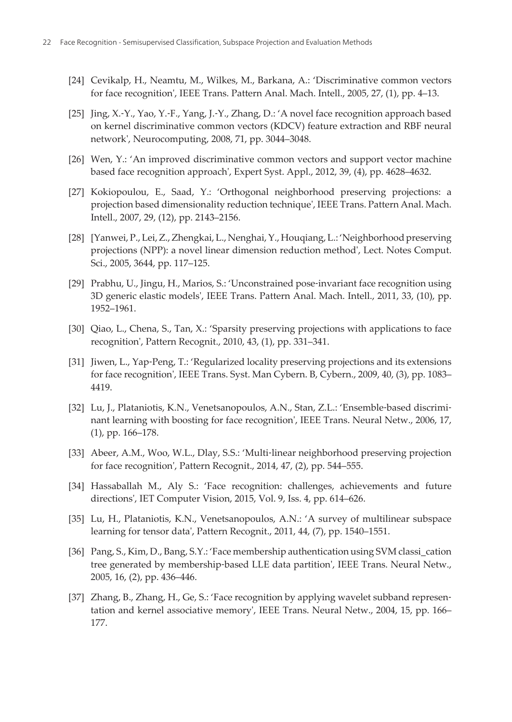- <span id="page-15-0"></span>[24] Cevikalp, H., Neamtu, M., Wilkes, M., Barkana, A.: 'Discriminative common vectors for face recognition', IEEE Trans. Pattern Anal. Mach. Intell., 2005, 27, (1), pp. 4–13.
- [25] Jing, X.‐Y., Yao, Y.‐F., Yang, J.‐Y., Zhang, D.: 'A novel face recognition approach based on kernel discriminative common vectors (KDCV) feature extraction and RBF neural network', Neurocomputing, 2008, 71, pp. 3044–3048.
- [26] Wen, Y.: 'An improved discriminative common vectors and support vector machine based face recognition approach', Expert Syst. Appl., 2012, 39, (4), pp. 4628–4632.
- [27] Kokiopoulou, E., Saad, Y.: 'Orthogonal neighborhood preserving projections: a projection based dimensionality reduction technique', IEEE Trans. Pattern Anal. Mach. Intell., 2007, 29, (12), pp. 2143–2156.
- [28] [Yanwei, P., Lei, Z., Zhengkai, L., Nenghai, Y., Houqiang, L.: 'Neighborhood preserving projections (NPP): a novel linear dimension reduction method', Lect. Notes Comput. Sci., 2005, 3644, pp. 117–125.
- [29] Prabhu, U., Jingu, H., Marios, S.: 'Unconstrained pose-invariant face recognition using 3D generic elastic models', IEEE Trans. Pattern Anal. Mach. Intell., 2011, 33, (10), pp. 1952–1961.
- [30] Qiao, L., Chena, S., Tan, X.: 'Sparsity preserving projections with applications to face recognition', Pattern Recognit., 2010, 43, (1), pp. 331–341.
- [31] Jiwen, L., Yap‐Peng, T.: 'Regularized locality preserving projections and its extensions for face recognition', IEEE Trans. Syst. Man Cybern. B, Cybern., 2009, 40, (3), pp. 1083– 4419.
- [32] Lu, J., Plataniotis, K.N., Venetsanopoulos, A.N., Stan, Z.L.: 'Ensemble‐based discrimi‐ nant learning with boosting for face recognition', IEEE Trans. Neural Netw., 2006, 17, (1), pp. 166–178.
- [33] Abeer, A.M., Woo, W.L., Dlay, S.S.: 'Multi-linear neighborhood preserving projection for face recognition', Pattern Recognit., 2014, 47, (2), pp. 544–555.
- [34] Hassaballah M., Aly S.: 'Face recognition: challenges, achievements and future directions', IET Computer Vision, 2015, Vol. 9, Iss. 4, pp. 614–626.
- [35] Lu, H., Plataniotis, K.N., Venetsanopoulos, A.N.: 'A survey of multilinear subspace learning for tensor data', Pattern Recognit., 2011, 44, (7), pp. 1540–1551.
- [36] Pang, S., Kim, D., Bang, S.Y.: 'Face membership authentication using SVM classi\_cation tree generated by membership-based LLE data partition', IEEE Trans. Neural Netw., 2005, 16, (2), pp. 436–446.
- [37] Zhang, B., Zhang, H., Ge, S.: 'Face recognition by applying wavelet subband representation and kernel associative memory', IEEE Trans. Neural Netw., 2004, 15, pp. 166– 177.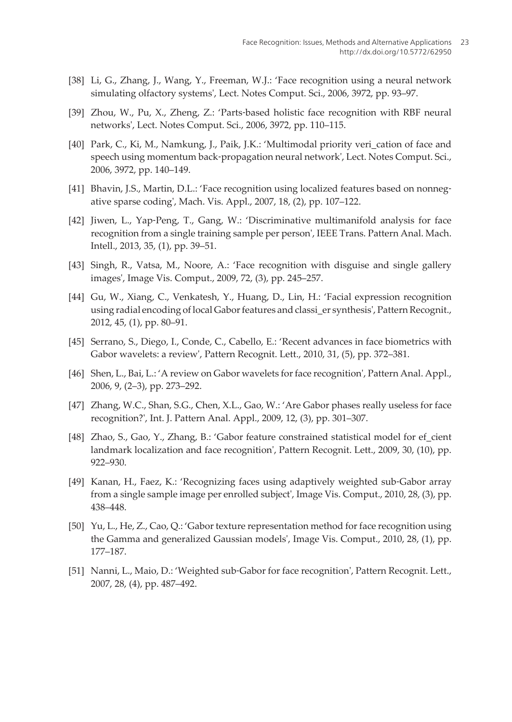- <span id="page-16-0"></span>[38] Li, G., Zhang, J., Wang, Y., Freeman, W.J.: 'Face recognition using a neural network simulating olfactory systems', Lect. Notes Comput. Sci., 2006, 3972, pp. 93–97.
- [39] Zhou, W., Pu, X., Zheng, Z.: 'Parts‐based holistic face recognition with RBF neural networks', Lect. Notes Comput. Sci., 2006, 3972, pp. 110–115.
- [40] Park, C., Ki, M., Namkung, J., Paik, J.K.: 'Multimodal priority veri cation of face and speech using momentum back‐propagation neural network', Lect. Notes Comput. Sci., 2006, 3972, pp. 140–149.
- [41] Bhavin, J.S., Martin, D.L.: 'Face recognition using localized features based on nonnegative sparse coding', Mach. Vis. Appl., 2007, 18, (2), pp. 107–122.
- [42] Jiwen, L., Yap-Peng, T., Gang, W.: 'Discriminative multimanifold analysis for face recognition from a single training sample per person', IEEE Trans. Pattern Anal. Mach. Intell., 2013, 35, (1), pp. 39–51.
- [43] Singh, R., Vatsa, M., Noore, A.: 'Face recognition with disguise and single gallery images', Image Vis. Comput., 2009, 72, (3), pp. 245–257.
- [44] Gu, W., Xiang, C., Venkatesh, Y., Huang, D., Lin, H.: 'Facial expression recognition using radial encoding of local Gabor features and classi\_er synthesis', Pattern Recognit., 2012, 45, (1), pp. 80–91.
- [45] Serrano, S., Diego, I., Conde, C., Cabello, E.: 'Recent advances in face biometrics with Gabor wavelets: a review', Pattern Recognit. Lett., 2010, 31, (5), pp. 372–381.
- [46] Shen, L., Bai, L.: 'A review on Gabor wavelets for face recognition', Pattern Anal. Appl., 2006, 9, (2–3), pp. 273–292.
- [47] Zhang, W.C., Shan, S.G., Chen, X.L., Gao, W.: 'Are Gabor phases really useless for face recognition?', Int. J. Pattern Anal. Appl., 2009, 12, (3), pp. 301–307.
- [48] Zhao, S., Gao, Y., Zhang, B.: 'Gabor feature constrained statistical model for ef\_cient landmark localization and face recognition', Pattern Recognit. Lett., 2009, 30, (10), pp. 922–930.
- [49] Kanan, H., Faez, K.: 'Recognizing faces using adaptively weighted sub‐Gabor array from a single sample image per enrolled subject', Image Vis. Comput., 2010, 28, (3), pp. 438–448.
- [50] Yu, L., He, Z., Cao, Q.: 'Gabor texture representation method for face recognition using the Gamma and generalized Gaussian models', Image Vis. Comput., 2010, 28, (1), pp. 177–187.
- [51] Nanni, L., Maio, D.: 'Weighted sub‐Gabor for face recognition', Pattern Recognit. Lett., 2007, 28, (4), pp. 487–492.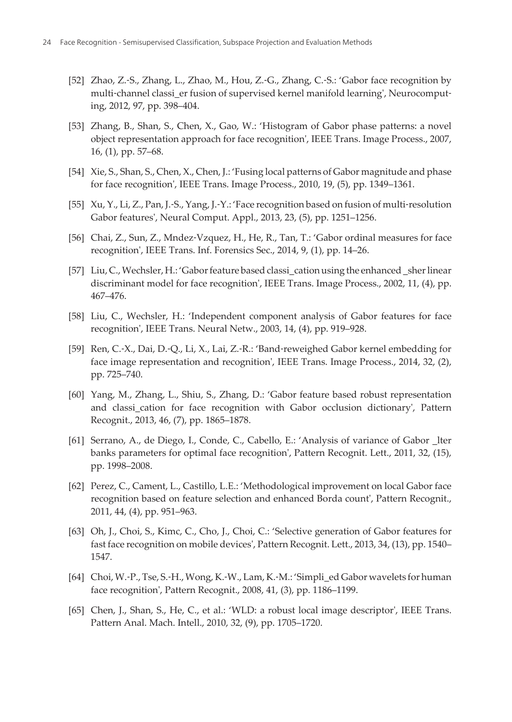- <span id="page-17-0"></span>[52] Zhao, Z.‐S., Zhang, L., Zhao, M., Hou, Z.‐G., Zhang, C.‐S.: 'Gabor face recognition by multi-channel classi\_er fusion of supervised kernel manifold learning', Neurocomputing, 2012, 97, pp. 398–404.
- [53] Zhang, B., Shan, S., Chen, X., Gao, W.: 'Histogram of Gabor phase patterns: a novel object representation approach for face recognition', IEEE Trans. Image Process., 2007, 16, (1), pp. 57–68.
- [54] Xie, S., Shan, S., Chen, X., Chen, J.: 'Fusing local patterns of Gabor magnitude and phase for face recognition', IEEE Trans. Image Process., 2010, 19, (5), pp. 1349–1361.
- [55] Xu, Y., Li, Z., Pan, J.‐S., Yang, J.‐Y.: 'Face recognition based on fusion of multi‐resolution Gabor features', Neural Comput. Appl., 2013, 23, (5), pp. 1251–1256.
- [56] Chai, Z., Sun, Z., Mndez‐Vzquez, H., He, R., Tan, T.: 'Gabor ordinal measures for face recognition', IEEE Trans. Inf. Forensics Sec., 2014, 9, (1), pp. 14–26.
- [57] Liu, C., Wechsler, H.: 'Gabor feature based classi\_cation using the enhanced \_sher linear discriminant model for face recognition', IEEE Trans. Image Process., 2002, 11, (4), pp. 467–476.
- [58] Liu, C., Wechsler, H.: 'Independent component analysis of Gabor features for face recognition', IEEE Trans. Neural Netw., 2003, 14, (4), pp. 919–928.
- [59] Ren, C.‐X., Dai, D.‐Q., Li, X., Lai, Z.‐R.: 'Band‐reweighed Gabor kernel embedding for face image representation and recognition', IEEE Trans. Image Process., 2014, 32, (2), pp. 725–740.
- [60] Yang, M., Zhang, L., Shiu, S., Zhang, D.: 'Gabor feature based robust representation and classi\_cation for face recognition with Gabor occlusion dictionary', Pattern Recognit., 2013, 46, (7), pp. 1865–1878.
- [61] Serrano, A., de Diego, I., Conde, C., Cabello, E.: 'Analysis of variance of Gabor \_lter banks parameters for optimal face recognition', Pattern Recognit. Lett., 2011, 32, (15), pp. 1998–2008.
- [62] Perez, C., Cament, L., Castillo, L.E.: 'Methodological improvement on local Gabor face recognition based on feature selection and enhanced Borda count', Pattern Recognit., 2011, 44, (4), pp. 951–963.
- [63] Oh, J., Choi, S., Kimc, C., Cho, J., Choi, C.: 'Selective generation of Gabor features for fast face recognition on mobile devices', Pattern Recognit. Lett., 2013, 34, (13), pp. 1540– 1547.
- [64] Choi, W.‐P., Tse, S.‐H., Wong, K.‐W., Lam, K.‐M.: 'Simpli\_ed Gabor wavelets for human face recognition', Pattern Recognit., 2008, 41, (3), pp. 1186–1199.
- [65] Chen, J., Shan, S., He, C., et al.: 'WLD: a robust local image descriptor', IEEE Trans. Pattern Anal. Mach. Intell., 2010, 32, (9), pp. 1705–1720.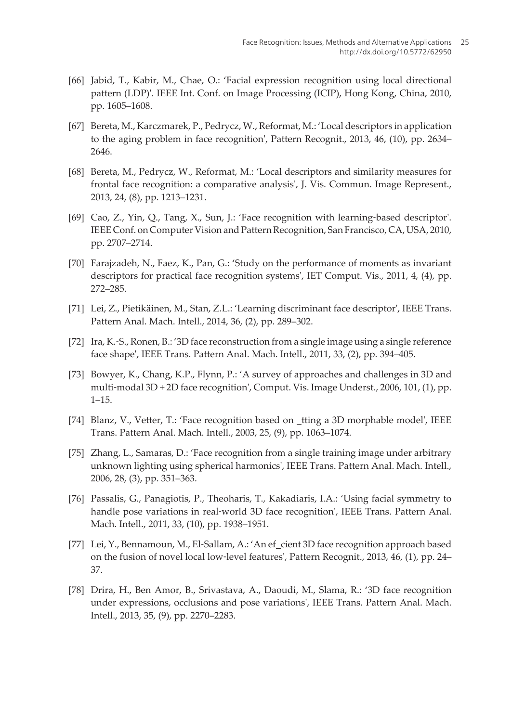- <span id="page-18-0"></span>[66] Jabid, T., Kabir, M., Chae, O.: 'Facial expression recognition using local directional pattern (LDP)'. IEEE Int. Conf. on Image Processing (ICIP), Hong Kong, China, 2010, pp. 1605–1608.
- [67] Bereta, M., Karczmarek, P., Pedrycz, W., Reformat, M.: 'Local descriptors in application to the aging problem in face recognition', Pattern Recognit., 2013, 46, (10), pp. 2634– 2646.
- [68] Bereta, M., Pedrycz, W., Reformat, M.: 'Local descriptors and similarity measures for frontal face recognition: a comparative analysis', J. Vis. Commun. Image Represent., 2013, 24, (8), pp. 1213–1231.
- [69] Cao, Z., Yin, Q., Tang, X., Sun, J.: 'Face recognition with learning-based descriptor'. IEEE Conf. on Computer Vision and Pattern Recognition, San Francisco, CA, USA, 2010, pp. 2707–2714.
- [70] Farajzadeh, N., Faez, K., Pan, G.: 'Study on the performance of moments as invariant descriptors for practical face recognition systems', IET Comput. Vis., 2011, 4, (4), pp. 272–285.
- [71] Lei, Z., Pietikäinen, M., Stan, Z.L.: 'Learning discriminant face descriptor', IEEE Trans. Pattern Anal. Mach. Intell., 2014, 36, (2), pp. 289–302.
- [72] Ira, K.‐S., Ronen, B.: '3D face reconstruction from a single image using a single reference face shape', IEEE Trans. Pattern Anal. Mach. Intell., 2011, 33, (2), pp. 394–405.
- [73] Bowyer, K., Chang, K.P., Flynn, P.: 'A survey of approaches and challenges in 3D and multi-modal 3D + 2D face recognition', Comput. Vis. Image Underst., 2006, 101, (1), pp. 1–15.
- [74] Blanz, V., Vetter, T.: 'Face recognition based on \_tting a 3D morphable model', IEEE Trans. Pattern Anal. Mach. Intell., 2003, 25, (9), pp. 1063–1074.
- [75] Zhang, L., Samaras, D.: 'Face recognition from a single training image under arbitrary unknown lighting using spherical harmonics', IEEE Trans. Pattern Anal. Mach. Intell., 2006, 28, (3), pp. 351–363.
- [76] Passalis, G., Panagiotis, P., Theoharis, T., Kakadiaris, I.A.: 'Using facial symmetry to handle pose variations in real‐world 3D face recognition', IEEE Trans. Pattern Anal. Mach. Intell., 2011, 33, (10), pp. 1938–1951.
- [77] Lei, Y., Bennamoun, M., El-Sallam, A.: 'An ef\_cient 3D face recognition approach based on the fusion of novel local low‐level features', Pattern Recognit., 2013, 46, (1), pp. 24– 37.
- [78] Drira, H., Ben Amor, B., Srivastava, A., Daoudi, M., Slama, R.: '3D face recognition under expressions, occlusions and pose variations', IEEE Trans. Pattern Anal. Mach. Intell., 2013, 35, (9), pp. 2270–2283.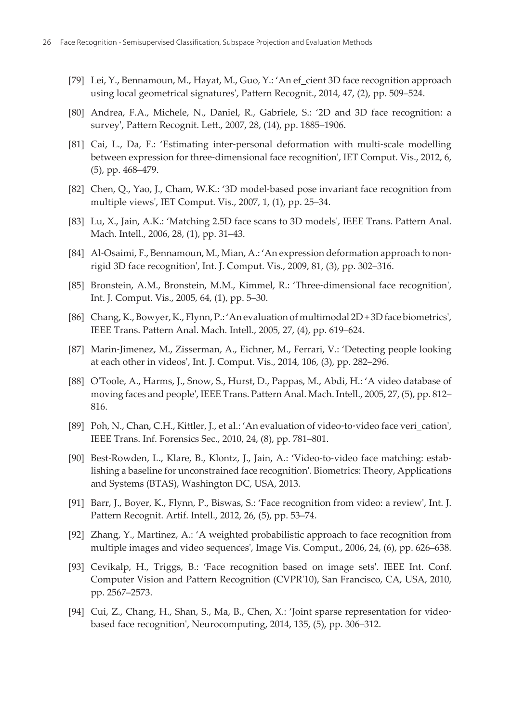- <span id="page-19-0"></span>[79] Lei, Y., Bennamoun, M., Hayat, M., Guo, Y.: 'An ef\_cient 3D face recognition approach using local geometrical signatures', Pattern Recognit., 2014, 47, (2), pp. 509–524.
- [80] Andrea, F.A., Michele, N., Daniel, R., Gabriele, S.: '2D and 3D face recognition: a survey', Pattern Recognit. Lett., 2007, 28, (14), pp. 1885–1906.
- [81] Cai, L., Da, F.: 'Estimating inter-personal deformation with multi-scale modelling between expression for three-dimensional face recognition', IET Comput. Vis., 2012, 6, (5), pp. 468–479.
- [82] Chen, Q., Yao, J., Cham, W.K.: '3D model-based pose invariant face recognition from multiple views', IET Comput. Vis., 2007, 1, (1), pp. 25–34.
- [83] Lu, X., Jain, A.K.: 'Matching 2.5D face scans to 3D models', IEEE Trans. Pattern Anal. Mach. Intell., 2006, 28, (1), pp. 31–43.
- [84] Al-Osaimi, F., Bennamoun, M., Mian, A.: 'An expression deformation approach to nonrigid 3D face recognition', Int. J. Comput. Vis., 2009, 81, (3), pp. 302–316.
- [85] Bronstein, A.M., Bronstein, M.M., Kimmel, R.: 'Three‐dimensional face recognition', Int. J. Comput. Vis., 2005, 64, (1), pp. 5–30.
- [86] Chang, K., Bowyer, K., Flynn, P.: 'An evaluation of multimodal 2D + 3D face biometrics', IEEE Trans. Pattern Anal. Mach. Intell., 2005, 27, (4), pp. 619–624.
- [87] Marin‐Jimenez, M., Zisserman, A., Eichner, M., Ferrari, V.: 'Detecting people looking at each other in videos', Int. J. Comput. Vis., 2014, 106, (3), pp. 282–296.
- [88] O'Toole, A., Harms, J., Snow, S., Hurst, D., Pappas, M., Abdi, H.: 'A video database of moving faces and people', IEEE Trans. Pattern Anal. Mach. Intell., 2005, 27, (5), pp. 812– 816.
- [89] Poh, N., Chan, C.H., Kittler, J., et al.: 'An evaluation of video-to-video face veri\_cation', IEEE Trans. Inf. Forensics Sec., 2010, 24, (8), pp. 781–801.
- [90] Best-Rowden, L., Klare, B., Klontz, J., Jain, A.: 'Video-to-video face matching: establishing a baseline for unconstrained face recognition'. Biometrics: Theory, Applications and Systems (BTAS), Washington DC, USA, 2013.
- [91] Barr, J., Boyer, K., Flynn, P., Biswas, S.: 'Face recognition from video: a review', Int. J. Pattern Recognit. Artif. Intell., 2012, 26, (5), pp. 53–74.
- [92] Zhang, Y., Martinez, A.: 'A weighted probabilistic approach to face recognition from multiple images and video sequences', Image Vis. Comput., 2006, 24, (6), pp. 626–638.
- [93] Cevikalp, H., Triggs, B.: 'Face recognition based on image sets'. IEEE Int. Conf. Computer Vision and Pattern Recognition (CVPR'10), San Francisco, CA, USA, 2010, pp. 2567–2573.
- [94] Cui, Z., Chang, H., Shan, S., Ma, B., Chen, X.: 'Joint sparse representation for videobased face recognition', Neurocomputing, 2014, 135, (5), pp. 306–312.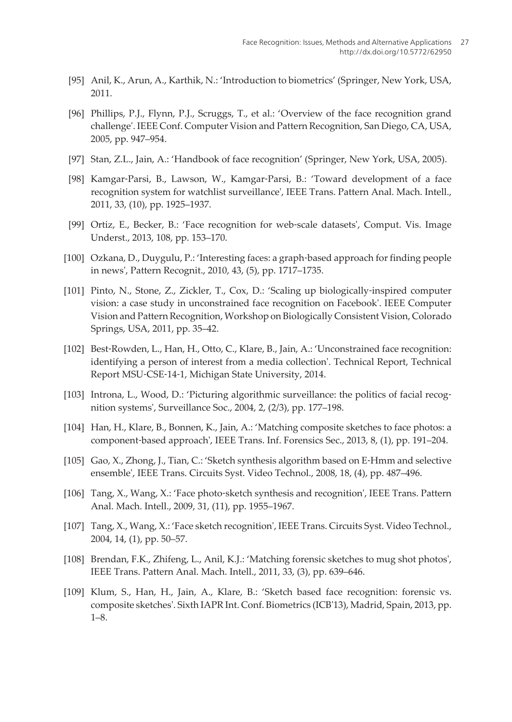- <span id="page-20-0"></span>[95] Anil, K., Arun, A., Karthik, N.: 'Introduction to biometrics' (Springer, New York, USA, 2011.
- [96] Phillips, P.J., Flynn, P.J., Scruggs, T., et al.: 'Overview of the face recognition grand challenge'. IEEE Conf. Computer Vision and Pattern Recognition, San Diego, CA, USA, 2005, pp. 947–954.
- [97] Stan, Z.L., Jain, A.: 'Handbook of face recognition' (Springer, New York, USA, 2005).
- [98] Kamgar‐Parsi, B., Lawson, W., Kamgar‐Parsi, B.: 'Toward development of a face recognition system for watchlist surveillance', IEEE Trans. Pattern Anal. Mach. Intell., 2011, 33, (10), pp. 1925–1937.
- [99] Ortiz, E., Becker, B.: 'Face recognition for web-scale datasets', Comput. Vis. Image Underst., 2013, 108, pp. 153–170.
- [100] Ozkana, D., Duygulu, P.: 'Interesting faces: a graph‐based approach for finding people in news', Pattern Recognit., 2010, 43, (5), pp. 1717–1735.
- [101] Pinto, N., Stone, Z., Zickler, T., Cox, D.: 'Scaling up biologically‐inspired computer vision: a case study in unconstrained face recognition on Facebook'. IEEE Computer Vision and Pattern Recognition, Workshop on Biologically Consistent Vision, Colorado Springs, USA, 2011, pp. 35–42.
- [102] Best-Rowden, L., Han, H., Otto, C., Klare, B., Jain, A.: 'Unconstrained face recognition: identifying a person of interest from a media collection'. Technical Report, Technical Report MSU‐CSE‐14‐1, Michigan State University, 2014.
- [103] Introna, L., Wood, D.: 'Picturing algorithmic surveillance: the politics of facial recognition systems', Surveillance Soc., 2004, 2, (2/3), pp. 177–198.
- [104] Han, H., Klare, B., Bonnen, K., Jain, A.: 'Matching composite sketches to face photos: a component‐based approach', IEEE Trans. Inf. Forensics Sec., 2013, 8, (1), pp. 191–204.
- [105] Gao, X., Zhong, J., Tian, C.: 'Sketch synthesis algorithm based on E‐Hmm and selective ensemble', IEEE Trans. Circuits Syst. Video Technol., 2008, 18, (4), pp. 487–496.
- [106] Tang, X., Wang, X.: 'Face photo-sketch synthesis and recognition', IEEE Trans. Pattern Anal. Mach. Intell., 2009, 31, (11), pp. 1955–1967.
- [107] Tang, X., Wang, X.: 'Face sketch recognition', IEEE Trans. Circuits Syst. Video Technol., 2004, 14, (1), pp. 50–57.
- [108] Brendan, F.K., Zhifeng, L., Anil, K.J.: 'Matching forensic sketches to mug shot photos', IEEE Trans. Pattern Anal. Mach. Intell., 2011, 33, (3), pp. 639–646.
- [109] Klum, S., Han, H., Jain, A., Klare, B.: 'Sketch based face recognition: forensic vs. composite sketches'. Sixth IAPR Int. Conf. Biometrics (ICB'13), Madrid, Spain, 2013, pp. 1–8.